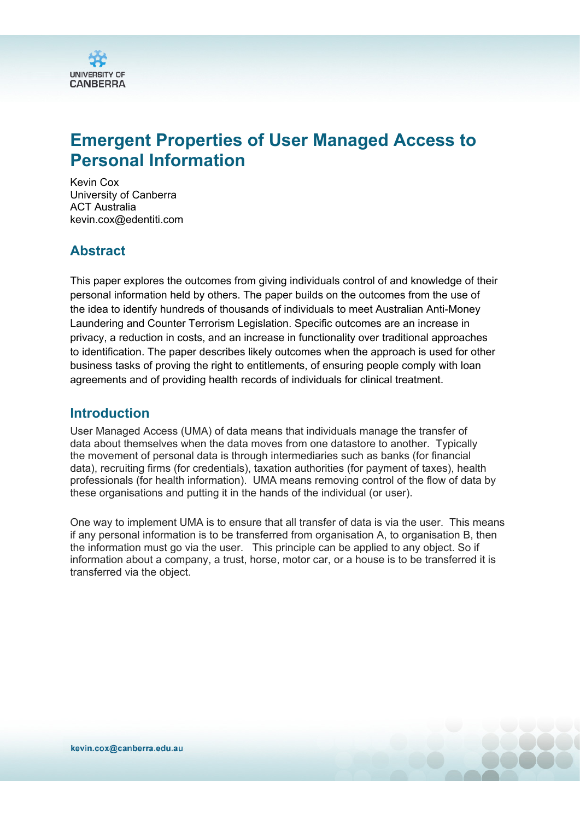

# **Emergent Properties of User Managed Access to Personal Information**

Kevin Cox University of Canberra ACT Australia kevin.cox@edentiti.com

#### **Abstract**

This paper explores the outcomes from giving individuals control of and knowledge of their personal information held by others. The paper builds on the outcomes from the use of the idea to identify hundreds of thousands of individuals to meet Australian Anti-Money Laundering and Counter Terrorism Legislation. Specific outcomes are an increase in privacy, a reduction in costs, and an increase in functionality over traditional approaches to identification. The paper describes likely outcomes when the approach is used for other business tasks of proving the right to entitlements, of ensuring people comply with loan agreements and of providing health records of individuals for clinical treatment.

#### **Introduction**

User Managed Access (UMA) of data means that individuals manage the transfer of data about themselves when the data moves from one datastore to another. Typically the movement of personal data is through intermediaries such as banks (for financial data), recruiting firms (for credentials), taxation authorities (for payment of taxes), health professionals (for health information). UMA means removing control of the flow of data by these organisations and putting it in the hands of the individual (or user).

One way to implement UMA is to ensure that all transfer of data is via the user. This means if any personal information is to be transferred from organisation A, to organisation B, then the information must go via the user. This principle can be applied to any object. So if information about a company, a trust, horse, motor car, or a house is to be transferred it is transferred via the object.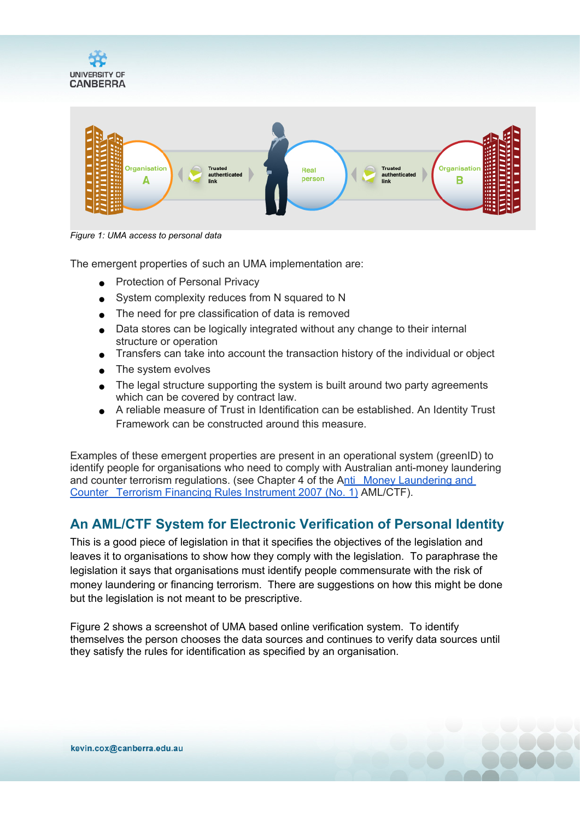



*Figure 1: UMA access to personal data*

The emergent properties of such an UMA implementation are:

- Protection of Personal Privacy
- System complexity reduces from N squared to N
- The need for pre classification of data is removed
- Data stores can be logically integrated without any change to their internal structure or operation
- Transfers can take into account the transaction history of the individual or object
- The system evolves
- The legal structure supporting the system is built around two party agreements which can be covered by contract law.
- A reliable measure of Trust in Identification can be established. An Identity Trust Framework can be constructed around this measure.

Examples of these emergent properties are present in an operational system (greenID) to identify people for organisations who need to comply with Australian anti-money laundering and counter terrorism regulations. (see Chapter 4 of the [Anti](http://www.comlaw.gov.au/Details/F2007L01000) [Money](http://www.comlaw.gov.au/Details/F2007L01000) [Laundering](http://www.comlaw.gov.au/Details/F2007L01000) [and](http://www.comlaw.gov.au/Details/F2007L01000) [Counter](http://www.comlaw.gov.au/Details/F2007L01000) [Terrorism](http://www.comlaw.gov.au/Details/F2007L01000) [Financing](http://www.comlaw.gov.au/Details/F2007L01000) [Rules](http://www.comlaw.gov.au/Details/F2007L01000) [Instrument](http://www.comlaw.gov.au/Details/F2007L01000) [2007](http://www.comlaw.gov.au/Details/F2007L01000) ([No.](http://www.comlaw.gov.au/Details/F2007L01000) [1\)](http://www.comlaw.gov.au/Details/F2007L01000) AML/CTF).

# **An AML/CTF System for Electronic Verification of Personal Identity**

This is a good piece of legislation in that it specifies the objectives of the legislation and leaves it to organisations to show how they comply with the legislation. To paraphrase the legislation it says that organisations must identify people commensurate with the risk of money laundering or financing terrorism. There are suggestions on how this might be done but the legislation is not meant to be prescriptive.

Figure 2 shows a screenshot of UMA based online verification system. To identify themselves the person chooses the data sources and continues to verify data sources until they satisfy the rules for identification as specified by an organisation.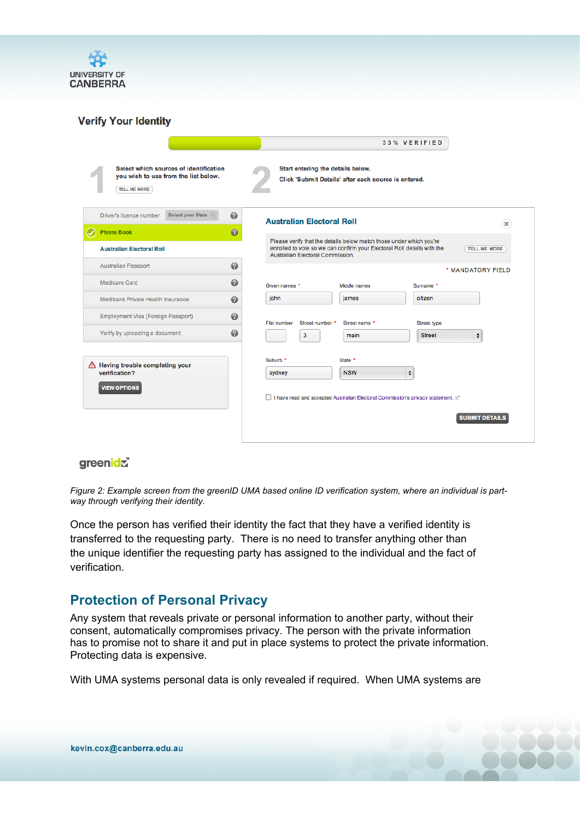

#### **Verify Your Identity**

|                                                                                                       | 33% VERIFIED                                                                                                                                                                                              |
|-------------------------------------------------------------------------------------------------------|-----------------------------------------------------------------------------------------------------------------------------------------------------------------------------------------------------------|
| Select which sources of identification<br>you wish to use from the list below.<br><b>TELL ME MORE</b> | Start entering the details below.<br>Click 'Submit Details' after each source is entered.                                                                                                                 |
| Driver's licence number<br>Select your State (<br>$\bullet$                                           | <b>Australian Electoral Roll</b><br>$\times$                                                                                                                                                              |
| $\bullet$<br><b>Phone Book</b><br><b>Australian Electoral Roll</b>                                    | Please verify that the details below match those under which you're<br>enrolled to vote so we can confirm your Electoral Roll details with the<br><b>TELL ME MORE</b><br>Australian Electoral Commission. |
| 0<br><b>Australian Passport</b>                                                                       | * MANDATORY FIELD                                                                                                                                                                                         |
| $\bullet$<br><b>Medicare Card</b>                                                                     | Given names *<br>Middle names<br>Surname *                                                                                                                                                                |
| 0<br>Medibank Private Health Insurance                                                                | iohn<br>citizen<br>james                                                                                                                                                                                  |
| 0<br><b>Employment Visa (Foreign Passport)</b>                                                        | <b>Flat number</b><br>Street number *<br>Street name *<br>Street type                                                                                                                                     |
| Ø<br>Verify by uploading a document                                                                   | 3<br>÷<br><b>Street</b><br>main                                                                                                                                                                           |
| A Having trouble completing your<br>verification?<br><b>VIEW OPTIONS</b>                              | Suburb *<br>State *<br>$\pmb{\div}$<br><b>NSW</b><br>sydney<br>□ I have read and accepted Australian Electoral Commission's privacy statement. [27]<br><b>SUBMIT DETAILS</b>                              |
|                                                                                                       |                                                                                                                                                                                                           |

#### greenidr

Figure 2: Example screen from the greenID UMA based online ID verification system, where an individual is part*way through verifying their identity.*

Once the person has verified their identity the fact that they have a verified identity is transferred to the requesting party. There is no need to transfer anything other than the unique identifier the requesting party has assigned to the individual and the fact of verification.

### **Protection of Personal Privacy**

Any system that reveals private or personal information to another party, without their consent, automatically compromises privacy. The person with the private information has to promise not to share it and put in place systems to protect the private information. Protecting data is expensive.

With UMA systems personal data is only revealed if required. When UMA systems are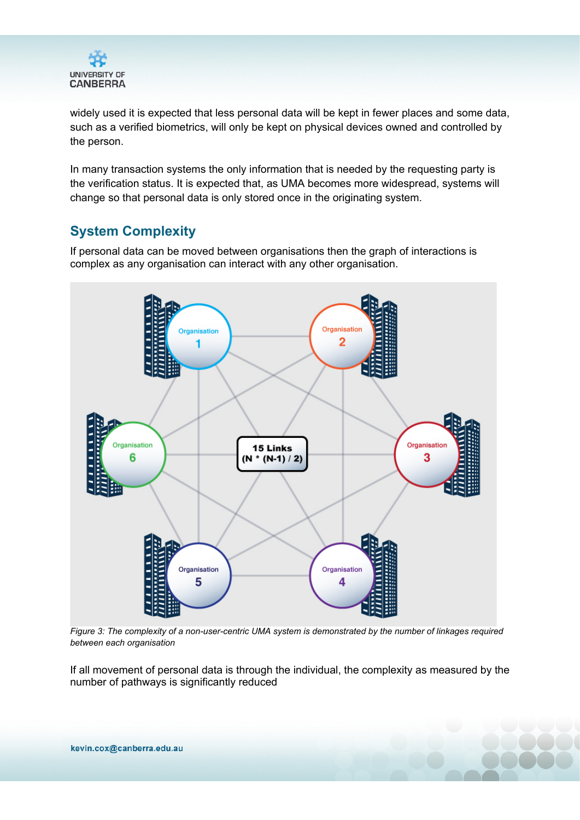

widely used it is expected that less personal data will be kept in fewer places and some data, such as a verified biometrics, will only be kept on physical devices owned and controlled by the person.

In many transaction systems the only information that is needed by the requesting party is the verification status. It is expected that, as UMA becomes more widespread, systems will change so that personal data is only stored once in the originating system.

# **System Complexity**

If personal data can be moved between organisations then the graph of interactions is complex as any organisation can interact with any other organisation.



Figure 3: The complexity of a non-user-centric UMA system is demonstrated by the number of linkages required *between each organisation*

If all movement of personal data is through the individual, the complexity as measured by the number of pathways is significantly reduced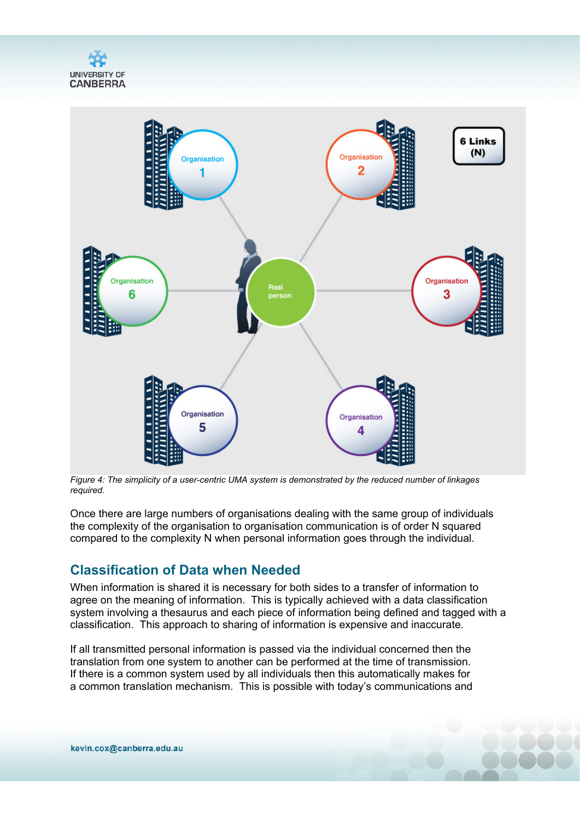



*Figure 4: The simplicity of a user-centric UMA system is demonstrated by the reduced number of linkages required.*

Once there are large numbers of organisations dealing with the same group of individuals the complexity of the organisation to organisation communication is of order N squared compared to the complexity N when personal information goes through the individual.

### **Classification of Data when Needed**

When information is shared it is necessary for both sides to a transfer of information to agree on the meaning of information. This is typically achieved with a data classification system involving a thesaurus and each piece of information being defined and tagged with a classification. This approach to sharing of information is expensive and inaccurate.

If all transmitted personal information is passed via the individual concerned then the translation from one system to another can be performed at the time of transmission. If there is a common system used by all individuals then this automatically makes for a common translation mechanism. This is possible with today's communications and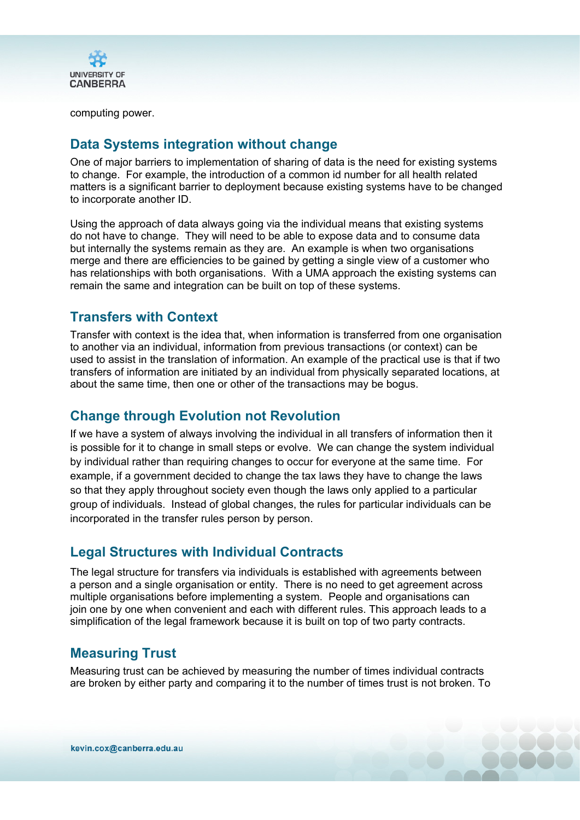

computing power.

# **Data Systems integration without change**

One of major barriers to implementation of sharing of data is the need for existing systems to change. For example, the introduction of a common id number for all health related matters is a significant barrier to deployment because existing systems have to be changed to incorporate another ID.

Using the approach of data always going via the individual means that existing systems do not have to change. They will need to be able to expose data and to consume data but internally the systems remain as they are. An example is when two organisations merge and there are efficiencies to be gained by getting a single view of a customer who has relationships with both organisations. With a UMA approach the existing systems can remain the same and integration can be built on top of these systems.

## **Transfers with Context**

Transfer with context is the idea that, when information is transferred from one organisation to another via an individual, information from previous transactions (or context) can be used to assist in the translation of information. An example of the practical use is that if two transfers of information are initiated by an individual from physically separated locations, at about the same time, then one or other of the transactions may be bogus.

## **Change through Evolution not Revolution**

If we have a system of always involving the individual in all transfers of information then it is possible for it to change in small steps or evolve. We can change the system individual by individual rather than requiring changes to occur for everyone at the same time. For example, if a government decided to change the tax laws they have to change the laws so that they apply throughout society even though the laws only applied to a particular group of individuals. Instead of global changes, the rules for particular individuals can be incorporated in the transfer rules person by person.

### **Legal Structures with Individual Contracts**

The legal structure for transfers via individuals is established with agreements between a person and a single organisation or entity. There is no need to get agreement across multiple organisations before implementing a system. People and organisations can join one by one when convenient and each with different rules. This approach leads to a simplification of the legal framework because it is built on top of two party contracts.

# **Measuring Trust**

Measuring trust can be achieved by measuring the number of times individual contracts are broken by either party and comparing it to the number of times trust is not broken. To